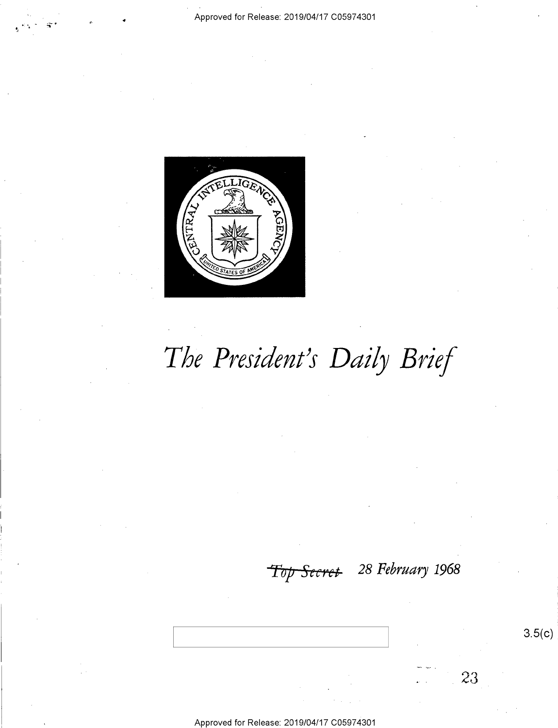

# The President's Daily Brief

## Top Secret 28 February 1968

 $3.5(c)$ 

23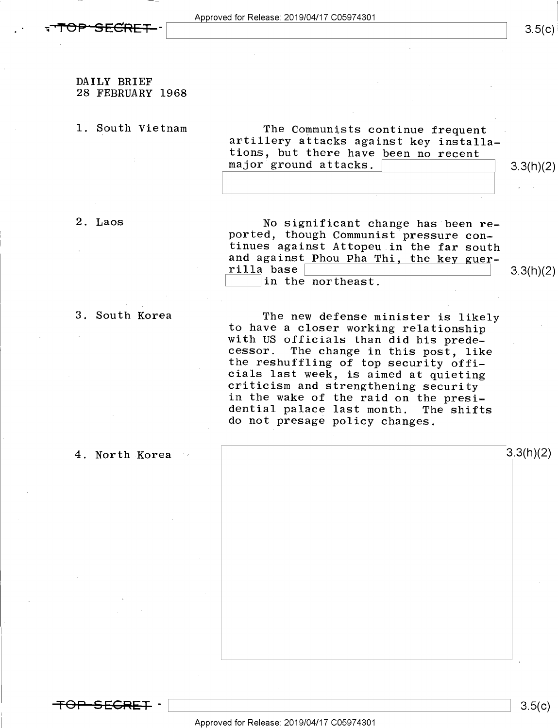#### DAILY BRIEF 28 FEBRUARY 1968

1. South Vietnam The Communists continue frequent artillery attacks against key installations, but there have been no recent major ground attacks.  $\begin{bmatrix}3.3(h)(2)\end{bmatrix}$ 

2. Laos Mo significant change has been re-<br>ported, though Communist pressure confinues against Attopeu in the far south<br>and against Phou Pha Thi, the key guer-<br>rilla base  $\begin{bmatrix} \text{in the northeast.} \ \text{in the northeast.} \ \end{bmatrix}$  3.3(h)(2)

3. South Korea<br>
The new defense minister is likely<br>
to have a closer working relationship<br>
with US officials than did his prede-<br>
cessor. The change in this post, like<br>
the reshuffling of top security offi-<br>
cials last wee do not presage policy changes.

4. North Korea  $\sim$  3.3(h)(2)

<del>TOP SEGRET</del> –

\ \ 8.5(¢)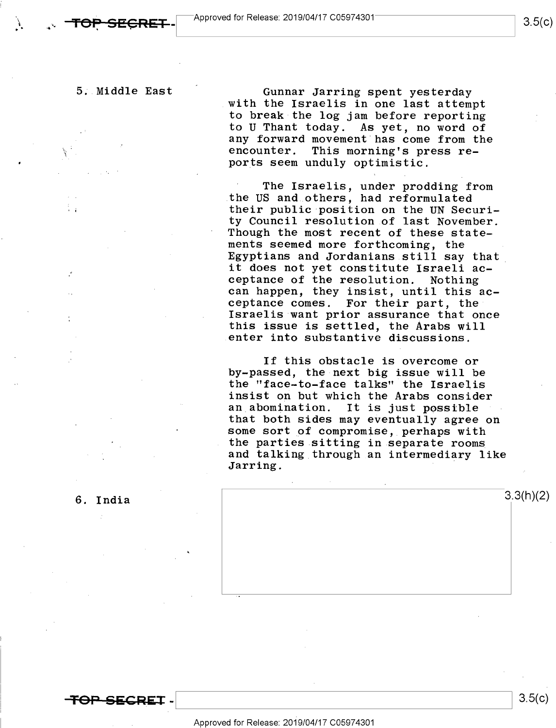$\mathcal{N}_{\mathcal{A}}$ 

5;.Middle East Gunnar Jarring spent yesterday with the Israelis in one last attempt to break the log jam before reporting to U Thant today. As yet, no word of any forward movement has come from the<br>encounter. This morning's press re-This morning's press reports seem unduly optimistic.

> The Israelis, under prodding from the US and others, had reformulated . their public position on the UN Security Council resolution of last November. Though the most recent of these statements seemed more forthcoming, the Egyptians and Jordanians still say that\_ it does not yet constitute Israeli ac-<br>ceptance of the resolution. Nothing can happen, they insist, until this ac-<br>ceptance comes. For their part, the Israelis want prior assurance that once this issue is settled, the Arabs will enter into substantive discussions.

If this obstacle is overcome or by-passed, the-next big issue will be the "face-to-face talks" the Israelis insist on but which the Arabs consider<br>an abomination. It is just possible an abomination. It is just possible<br>that both sides may eventually agree on some sort of compromise, perhaps with<br>the parties sitting in separate rooms and talking through an intermediary like<br>Jarring.

6. India  $\frac{3!}{2!}$ 

<del>TOP SECRET</del> -

 $3.5(c)$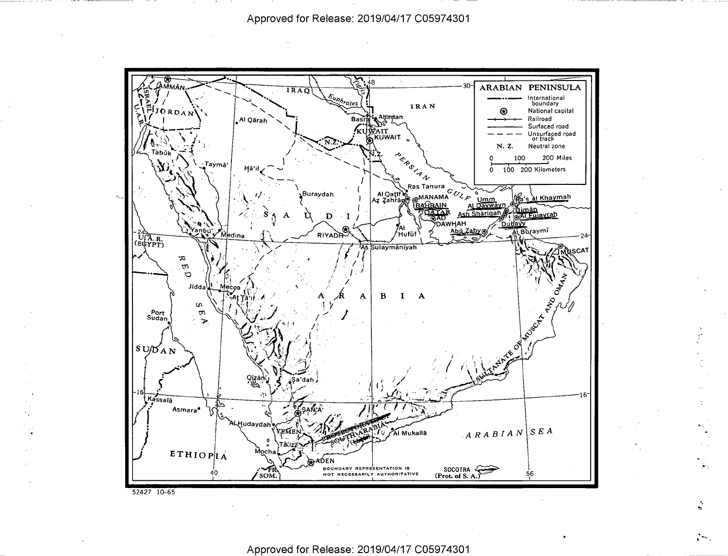

.<br>.<br>.

'- 'J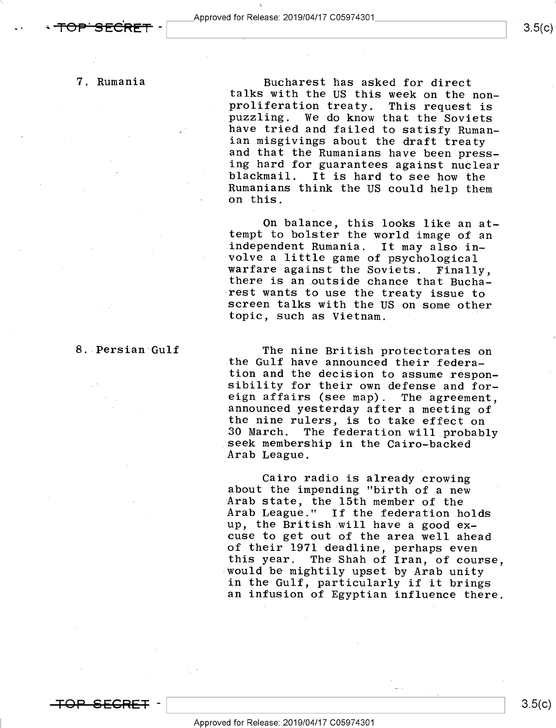$\sim$   $\sim$ 

Bucharest has asked for direct<br>talks with the US this week on the non-<br>proliferation treaty. This request is<br>puzzling. We do know that the Soviets<br>have tried and failed to satisfy Ruman-<br>ian misgivings about the draft trea blackmail. It is hard to see how the<br>Rumanians think the US could help them<br>on this.

On balance, this looks like an at-<br>tempt to bolster the world image of an<br>independent Rumania. It may also in-<br>volve a little game of psychological<br>warfare against the Soviets. Finally,<br>there is an outside chance that Buch topic, such as Vietnam. .

The nine British protectorates on<br>the Gulf have announced their federa-<br>tion and the decision to assume respon-<br>sibility for their own defense and for-<br>eign affairs (see map). The agreement,<br>announced yesterday after a mee

Cairo radio is already crowing<br>about the impending "birth of a new<br>Arab state, the 15th member of the<br>Arab League." If the federation holds up, the British will have a good ex-<br>cuse to get out of the area well ahead of their 1971 deadline, perhaps even<br>this year. The Shah of Iran, of course, would be mightily upset by Arab unity<br>in the Gulf, particularly if it brings an infusion of Egyptian influence there.

### 8. Persian Gulf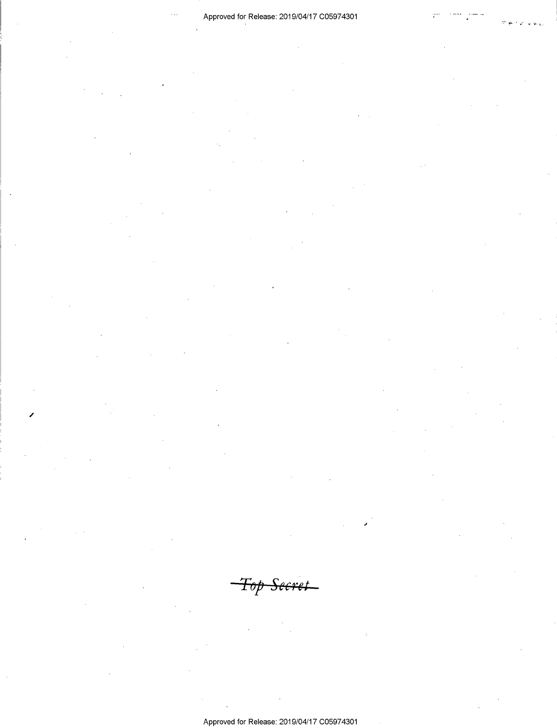<del>-Top Secret</del>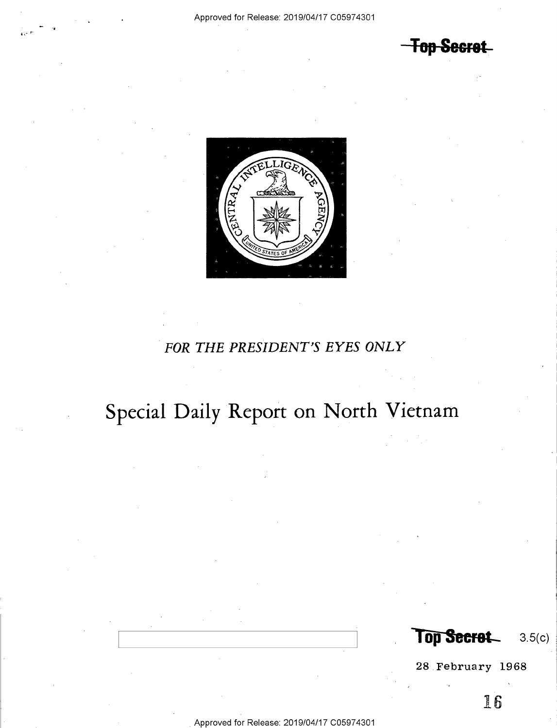**Fop Secret** 



## FOR THE PRESIDENT'S EYES ONLY

## Special Daily Report on North Vietnam

Top Secret\_8.5(c)

28.February 1968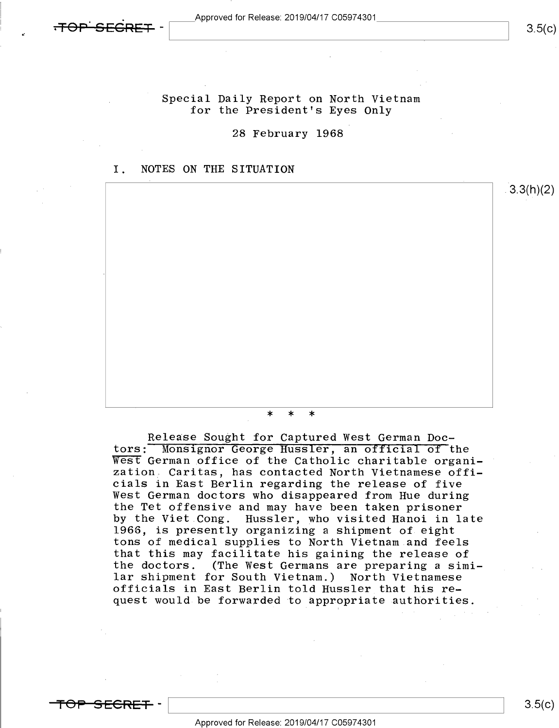

Special Daily Report on North Vietnam for the President's Eyes Only

28 February 1968

### I. NOTES ON THE SITUATION



Release Sought for Captured West German Doc-<br>tors: Monsignor George Hussler, an official of the West German office of the Catholic charitable organization, Caritas, has contacted North Vietnamese offi-<br>cials in East Berlin regarding the release of five West German doctors who disappeared from Hue during the Tet offensive and may have been taken prisoner by the Viet Cong. Hussler, who visited Hanoi in late 1966, is presently organizing a shipment of eight tons of medical supplies to North Vietnam.and feels that this may facilitate his gaining the release of the doctors. (The West Germans are preparing a similar shipment for South Vietnam.) North Vietnamese officials in East Berlin told Hussler that his request would be forwarded to appropriate authorities.

<del>SECRET</del> ·

\ \ 3-5(<>)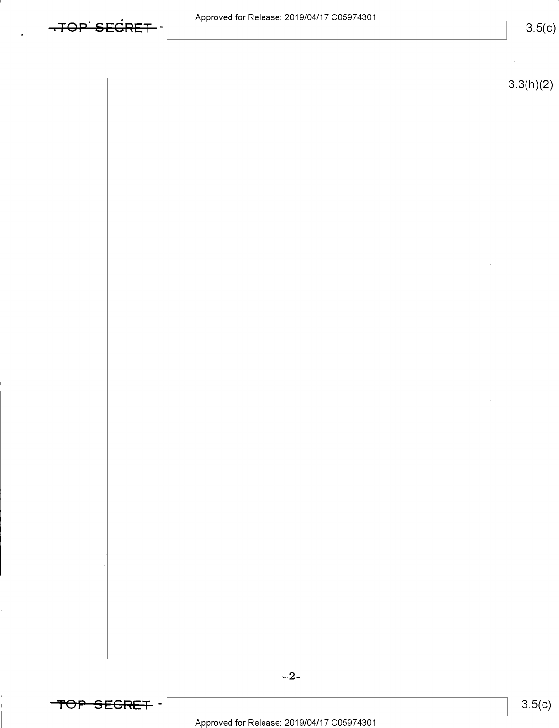|  |   | TOD SECRET. |      |  |  |  |  |  |  |
|--|---|-------------|------|--|--|--|--|--|--|
|  |   |             |      |  |  |  |  |  |  |
|  | . |             | ---- |  |  |  |  |  |  |

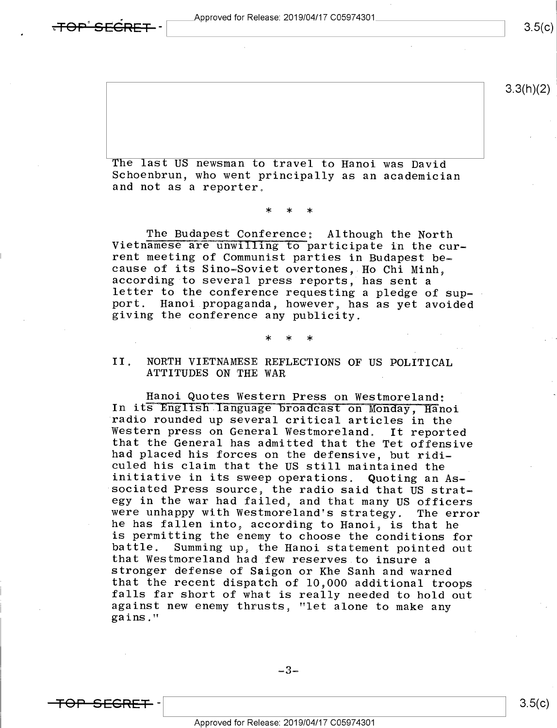. pproved for Release: 2019/O4/17 CO5974301 TA \ 3\_5<c>

3.3(h)(2)

The last US newsman to travel to Hanoi was David<br>Schoenbrun, who went principally as an academician<br>and not as a reporter.

\* \* \*

The Budapest Conference: Although the North<br>Vietnamese are unwilling to participate in the cur-<br>rent meeting of Communist parties in Budapest be-<br>cause of its Sino-Soviet overtones, Ho Chi Minh,<br>according to several press port. Hanoi propaganda, however, has as yet avoided giving the conference any publicity.

#### $\star$  \* \* \*  $\star$

## II. NORTH VIETNAMESE REFLECTIONS OF US POLITICAL<br>ATTITUDES ON THE WAR

Hanoi Quotes Western Press on Westmoreland;<br>In its English language broadcast on Monday, Hanoi radio rounded up several critical articles in the<br>Western press on General Westmoreland. It reported<br>that the General has admitted that the Tet offensive<br>had placed his forces on the defensive, but ridi-<br>culed his claim th were unhappy with Westmoreland's strategy. The error<br>he has fallen into, according to Hanoi, is that he<br>is permitting the enemy to choose the conditions for battle. Summing up, the Hanoi statement pointed out<br>that Westmoreland had few reserves to insure a<br>stronger defense of Saigon or Khe Sanh and warned<br>that the recent dispatch of 10,000 additional troops<br>falls far short of w